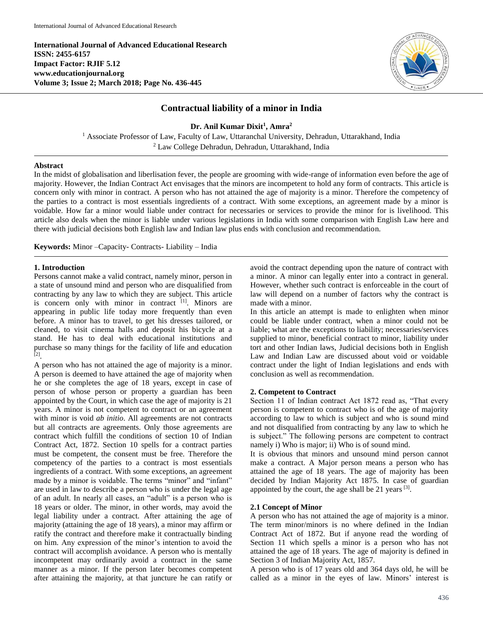**International Journal of Advanced Educational Research ISSN: 2455-6157 Impact Factor: RJIF 5.12 www.educationjournal.org Volume 3; Issue 2; March 2018; Page No. 436-445**



# **Contractual liability of a minor in India**

**Dr. Anil Kumar Dixit<sup>1</sup> , Amra<sup>2</sup>**

<sup>1</sup> Associate Professor of Law, Faculty of Law, Uttaranchal University, Dehradun, Uttarakhand, India <sup>2</sup> Law College Dehradun, Dehradun, Uttarakhand, India

#### **Abstract**

In the midst of globalisation and liberlisation fever, the people are grooming with wide-range of information even before the age of majority. However, the Indian Contract Act envisages that the minors are incompetent to hold any form of contracts. This article is concern only with minor in contract. A person who has not attained the age of majority is a minor. Therefore the competency of the parties to a contract is most essentials ingredients of a contract. With some exceptions, an agreement made by a minor is voidable. How far a minor would liable under contract for necessaries or services to provide the minor for is livelihood. This article also deals when the minor is liable under various legislations in India with some comparison with English Law here and there with judicial decisions both English law and Indian law plus ends with conclusion and recommendation.

**Keywords:** Minor –Capacity- Contracts- Liability – India

### **1. Introduction**

Persons cannot make a valid contract, namely minor, person in a state of unsound mind and person who are disqualified from contracting by any law to which they are subject. This article is concern only with minor in contract [1]. Minors are appearing in public life today more frequently than even before. A minor has to travel, to get his dresses tailored, or cleaned, to visit cinema halls and deposit his bicycle at a stand. He has to deal with educational institutions and purchase so many things for the facility of life and education [2] .

A person who has not attained the age of majority is a minor. A person is deemed to have attained the age of majority when he or she completes the age of 18 years, except in case of person of whose person or property a guardian has been appointed by the Court, in which case the age of majority is 21 years. A minor is not competent to contract or an agreement with minor is void *ab initio*. All agreements are not contracts but all contracts are agreements. Only those agreements are contract which fulfill the conditions of section 10 of Indian Contract Act, 1872. Section 10 spells for a contract parties must be competent, the consent must be free. Therefore the competency of the parties to a contract is most essentials ingredients of a contract. With some exceptions, an agreement made by a minor is voidable. The terms "minor" and "infant" are used in law to describe a person who is under the legal age of an adult. In nearly all cases, an "adult" is a person who is 18 years or older. The minor, in other words, may avoid the legal liability under a contract. After attaining the age of majority (attaining the age of 18 years), a minor may affirm or ratify the contract and therefore make it contractually binding on him. Any expression of the minor's intention to avoid the contract will accomplish avoidance. A person who is mentally incompetent may ordinarily avoid a contract in the same manner as a minor. If the person later becomes competent after attaining the majority, at that juncture he can ratify or avoid the contract depending upon the nature of contract with a minor. A minor can legally enter into a contract in general. However, whether such contract is enforceable in the court of law will depend on a number of factors why the contract is made with a minor.

In this article an attempt is made to enlighten when minor could be liable under contract, when a minor could not be liable; what are the exceptions to liability; necessaries/services supplied to minor, beneficial contract to minor, liability under tort and other Indian laws, Judicial decisions both in English Law and Indian Law are discussed about void or voidable contract under the light of Indian legislations and ends with conclusion as well as recommendation.

# **2. Competent to Contract**

Section 11 of Indian contract Act 1872 read as, "That every person is competent to contract who is of the age of majority according to law to which is subject and who is sound mind and not disqualified from contracting by any law to which he is subject." The following persons are competent to contract namely i) Who is major; ii) Who is of sound mind.

It is obvious that minors and unsound mind person cannot make a contract. A Major person means a person who has attained the age of 18 years. The age of majority has been decided by Indian Majority Act 1875. In case of guardian appointed by the court, the age shall be 21 years  $[3]$ .

#### **2.1 Concept of Minor**

A person who has not attained the age of majority is a minor. The term minor/minors is no where defined in the Indian Contract Act of 1872. But if anyone read the wording of Section 11 which spells a minor is a person who has not attained the age of 18 years. The age of majority is defined in Section 3 of Indian Majority Act, 1857.

A person who is of 17 years old and 364 days old, he will be called as a minor in the eyes of law. Minors' interest is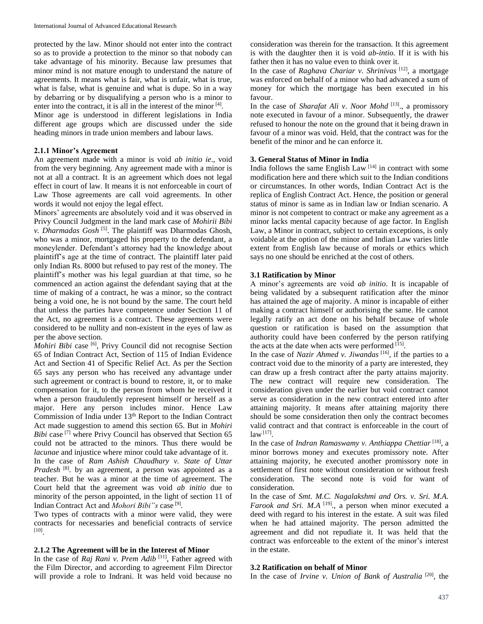protected by the law. Minor should not enter into the contract so as to provide a protection to the minor so that nobody can take advantage of his minority. Because law presumes that minor mind is not mature enough to understand the nature of agreements. It means what is fair, what is unfair, what is true, what is false, what is genuine and what is dupe. So in a way by debarring or by disqualifying a person who is a minor to enter into the contract, it is all in the interest of the minor [4].

Minor age is understood in different legislations in India different age groups which are discussed under the side heading minors in trade union members and labour laws.

### **2.1.1 Minor's Agreement**

An agreement made with a minor is void *ab initio ie*., void from the very beginning. Any agreement made with a minor is not at all a contract. It is an agreement which does not legal effect in court of law. It means it is not enforceable in court of Law Those agreements are call void agreements. In other words it would not enjoy the legal effect.

Minors' agreements are absolutely void and it was observed in Privy Council Judgment in the land mark case of *Mohirii Bibi v. Dharmadas Gosh* [5] . The plaintiff was Dharmodas Ghosh, who was a minor, mortgaged his property to the defendant, a moneylender. Defendant's attorney had the knowledge about plaintiff's age at the time of contract. The plaintiff later paid only Indian Rs. 8000 but refused to pay rest of the money. The plaintiff's mother was his legal guardian at that time, so he commenced an action against the defendant saying that at the time of making of a contract, he was a minor, so the contract being a void one, he is not bound by the same. The court held that unless the parties have competence under Section 11 of the Act, no agreement is a contract. These agreements were considered to be nullity and non-existent in the eyes of law as per the above section.

*Mohiri Bibi* case <sup>[6]</sup>, Privy Council did not recognise Section 65 of Indian Contract Act, Section of 115 of Indian Evidence Act and Section 41 of Specific Relief Act. As per the Section 65 says any person who has received any advantage under such agreement or contract is bound to restore, it, or to make compensation for it, to the person from whom he received it when a person fraudulently represent himself or herself as a major. Here any person includes minor. Hence Law Commission of India under 13<sup>th</sup> Report to the Indian Contract Act made suggestion to amend this section 65. But in *Mohiri Bibi* case<sup>[7]</sup> where Privy Council has observed that Section 65 could not be attracted to the minors. Thus there would be *lacunae* and injustice where minor could take advantage of it. In the case of *Ram Ashish Chaudhary v. State of Uttar*  Pradesh<sup>[8]</sup>. by an agreement, a person was appointed as a teacher. But he was a minor at the time of agreement. The Court held that the agreement was void *ab initio* due to minority of the person appointed, in the light of section 11 of Indian Contract Act and *Mohori Bibi"s* case [9] .

Two types of contracts with a minor were valid, they were contracts for necessaries and beneficial contracts of service [10] .

## **2.1.2 The Agreement will be in the Interest of Minor**

In the case of *Raj Rani v. Prem Adib* [11] , Father agreed with the Film Director, and according to agreement Film Director will provide a role to Indrani. It was held void because no

consideration was therein for the transaction. It this agreement is with the daughter then it is void *ab-intio.* If it is with his father then it has no value even to think over it.

In the case of *Raghava Chariar v. Shrinivas* [12] , a mortgage was enforced on behalf of a minor who had advanced a sum of money for which the mortgage has been executed in his favour.

In the case of *Sharafat Ali v. Noor Mohd*<sup>[13]</sup>, a promissory note executed in favour of a minor. Subsequently, the drawer refused to honour the note on the ground that it being drawn in favour of a minor was void. Held, that the contract was for the benefit of the minor and he can enforce it.

### **3. General Status of Minor in India**

India follows the same English Law<sup> $[14]$ </sup> in contract with some modification here and there which suit to the Indian conditions or circumstances. In other words, Indian Contract Act is the replica of English Contract Act. Hence, the position or general status of minor is same as in Indian law or Indian scenario. A minor is not competent to contract or make any agreement as a minor lacks mental capacity because of age factor. In English Law, a Minor in contract, subject to certain exceptions, is only voidable at the option of the minor and Indian Law varies little extent from English law because of morals or ethics which says no one should be enriched at the cost of others.

### **3.1 Ratification by Minor**

A minor's agreements are void *ab initio*. It is incapable of being validated by a subsequent ratification after the minor has attained the age of majority. A minor is incapable of either making a contract himself or authorising the same. He cannot legally ratify an act done on his behalf because of whole question or ratification is based on the assumption that authority could have been conferred by the person ratifying the acts at the date when acts were performed  $[15]$ .

In the case of *Nazir Ahmed v. Jiwandas* [16] , if the parties to a contract void due to the minority of a party are interested, they can draw up a fresh contract after the party attains majority. The new contract will require new consideration. The consideration given under the earlier but void contract cannot serve as consideration in the new contract entered into after attaining majority. It means after attaining majority there should be some consideration then only the contract becomes valid contract and that contract is enforceable in the court of law [17] .

In the case of *Indran Ramaswamy v. Anthiappa Chettiar* [18] *,* a minor borrows money and executes promissory note. After attaining majority, he executed another promissory note in settlement of first note without consideration or without fresh consideration. The second note is void for want of consideration.

In the case of *Smt. M.C. Nagalakshmi and Ors. v. Sri. M.A. Farook and Sri. M.A* <sup>[19]</sup>, a person when minor executed a deed with regard to his interest in the estate. A suit was filed when he had attained majority. The person admitted the agreement and did not repudiate it. It was held that the contract was enforceable to the extent of the minor's interest in the estate.

#### **3.2 Ratification on behalf of Minor**

In the case of *Irvine v. Union of Bank of Australia* [20] *,* the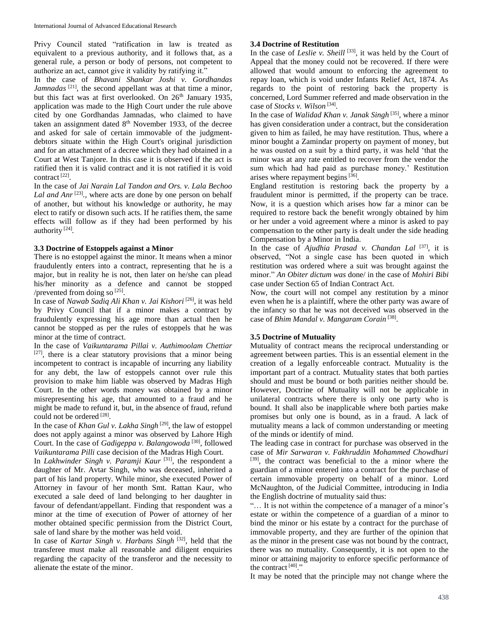Privy Council stated "ratification in law is treated as equivalent to a previous authority, and it follows that, as a general rule, a person or body of persons, not competent to authorize an act, cannot give it validity by ratifying it."

In the case of *Bhavani Shankar Joshi v. Gordhandas*  Jamnadas<sup>[21]</sup>, the second appellant was at that time a minor, but this fact was at first overlooked. On 26<sup>th</sup> January 1935, application was made to the High Court under the rule above cited by one Gordhandas Jamnadas, who claimed to have taken an assignment dated 8<sup>th</sup> November 1933, of the decree and asked for sale of certain immovable of the judgmentdebtors situate within the High Court's original jurisdiction and for an attachment of a decree which they had obtained in a Court at West Tanjore. In this case it is observed if the act is ratified then it is valid contract and it is not ratified it is void contract [22] .

In the case of *Jai Narain Lal Tandon and Ors. v. Lala Bechoo*  Lal and  $Anr^{[23]}$ , where acts are done by one person on behalf of another, but without his knowledge or authority, he may elect to ratify or disown such acts. If he ratifies them, the same effects will follow as if they had been performed by his authority [24] *.*

# **3.3 Doctrine of Estoppels against a Minor**

There is no estoppel against the minor. It means when a minor fraudulently enters into a contract, representing that he is a major, but in reality he is not, then later on he/she can plead his/her minority as a defence and cannot be stopped /prevented from doing so [25].

In case of *Nawab Sadiq Ali Khan v. Jai Kishori* [26] , it was held by Privy Council that if a minor makes a contract by fraudulently expressing his age more than actual then he cannot be stopped as per the rules of estoppels that he was minor at the time of contract.

In the case of *Vaikuntarama Pillai v. Authimoolam Chettiar* [27], there is a clear statutory provisions that a minor being incompetent to contract is incapable of incurring any liability for any debt, the law of estoppels cannot over rule this provision to make him liable was observed by Madras High Court. In the other words money was obtained by a minor misrepresenting his age, that amounted to a fraud and he might be made to refund it, but, in the absence of fraud, refund could not be ordered [28].

In the case of *Khan Gul v. Lakha Singh* [29] *,* the law of estoppel does not apply against a minor was observed by Lahore High Court. In the case of *Gadigeppa v. Balangowoda*<sup>[30]</sup>, followed *Vaikuntarama Pilli* case decision of the Madras High Court.

In *Lakhwinder Singh v. Paramji Kaur* [31] *,* the respondent a daughter of Mr. Avtar Singh, who was deceased, inherited a part of his land property. While minor, she executed Power of Attorney in favour of her month Smt. Rattan Kaur, who executed a sale deed of land belonging to her daughter in favour of defendant/appellant. Finding that respondent was a minor at the time of execution of Power of attorney of her mother obtained specific permission from the District Court, sale of land share by the mother was held void.

In case of *Kartar Singh v. Harbans Singh* [32] , held that the transferee must make all reasonable and diligent enquiries regarding the capacity of the transferor and the necessity to alienate the estate of the minor.

# **3.4 Doctrine of Restitution**

In the case of *Leslie v. Sheill* [33], it was held by the Court of Appeal that the money could not be recovered. If there were allowed that would amount to enforcing the agreement to repay loan, which is void under Infants Relief Act, 1874. As regards to the point of restoring back the property is concerned, Lord Summer referred and made observation in the case of *Stocks v. Wilson* [34] .

In the case of *Walidad Khan v. Janak Singh* [35] *,* where a minor has given consideration under a contract, but the consideration given to him as failed, he may have restitution. Thus, where a minor bought a Zamindar property on payment of money, but he was ousted on a suit by a third party, it was held 'that the minor was at any rate entitled to recover from the vendor the sum which had had paid as purchase money.' Restitution arises where repayment begins<sup>[36]</sup>.

England restitution is restoring back the property by a fraudulent minor is permitted, if the property can be trace. Now, it is a question which arises how far a minor can be required to restore back the benefit wrongly obtained by him or her under a void agreement where a minor is asked to pay compensation to the other party is dealt under the side heading Compensation by a Minor in India.

In the case of *Ajudhia Prasad v. Chandan Lal* [37] , it is observed, "Not a single case has been quoted in which restitution was ordered where a suit was brought against the minor." *An Obiter dictum was* done/ in the case of *Mohiri Bibi* case under Section 65 of Indian Contract Act.

Now, the court will not compel any restitution by a minor even when he is a plaintiff, where the other party was aware of the infancy so that he was not deceived was observed in the case of *Bhim Mandal v. Mangaram Corain*<sup>[38]</sup>.

# **3.5 Doctrine of Mutuality**

Mutuality of contract means the reciprocal understanding or agreement between parties. This is an essential element in the creation of a legally enforceable contract. Mutuality is the important part of a contract. Mutuality states that both parties should and must be bound or both parities neither should be. However, Doctrine of Mutuality will not be applicable in unilateral contracts where there is only one party who is bound. It shall also be inapplicable where both parties make promises but only one is bound, as in a fraud. A lack of mutuality means a lack of common understanding or meeting of the minds or identify of mind.

The leading case in contract for purchase was observed in the case of *Mir Sarwaran v. Fakhruddin Mohammed Chowdhuri* [39], the contract was beneficial to the a minor where the guardian of a minor entered into a contract for the purchase of certain immovable property on behalf of a minor. Lord McNaughton, of the Judicial Committee, introducing in India the English doctrine of mutuality said thus:

"… It is not within the competence of a manager of a minor's estate or within the competence of a guardian of a minor to bind the minor or his estate by a contract for the purchase of immovable property, and they are further of the opinion that as the minor in the present case was not bound by the contract, there was no mutuality. Consequently, it is not open to the minor or attaining majority to enforce specific performance of the contract  $[40]$ ."

It may be noted that the principle may not change where the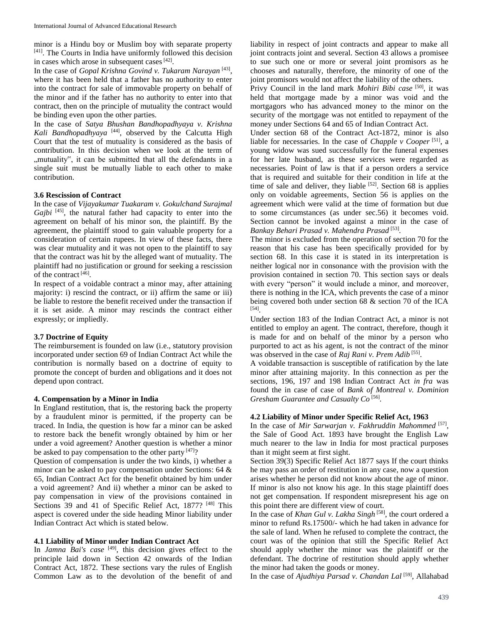minor is a Hindu boy or Muslim boy with separate property [41] . The Courts in India have uniformly followed this decision in cases which arose in subsequent cases [42].

In the case of *Gopal Krishna Govind v. Tukaram Narayan* [43] , where it has been held that a father has no authority to enter into the contract for sale of immovable property on behalf of the minor and if the father has no authority to enter into that contract, then on the principle of mutuality the contract would be binding even upon the other parties.

In the case of *Satya Bhushan Bandhopadhyaya v. Krishna Kali Bandhopadhyaya* [44] , observed by the Calcutta High Court that the test of mutuality is considered as the basis of contribution. In this decision when we look at the term of ", mutuality", it can be submitted that all the defendants in a single suit must be mutually liable to each other to make contribution.

### **3.6 Rescission of Contract**

In the case of *Vijayakumar Tuakaram v. Gokulchand Surajmal*  Gajbi<sup>[45]</sup>, the natural father had capacity to enter into the agreement on behalf of his minor son, the plaintiff. By the agreement, the plaintiff stood to gain valuable property for a consideration of certain rupees. In view of these facts, there was clear mutuality and it was not open to the plaintiff to say that the contract was hit by the alleged want of mutuality. The plaintiff had no justification or ground for seeking a rescission of the contract [46].

In respect of a voidable contract a minor may, after attaining majority: i) rescind the contract, or ii) affirm the same or iii) be liable to restore the benefit received under the transaction if it is set aside. A minor may rescinds the contract either expressly; or impliedly.

# **3.7 Doctrine of Equity**

The reimbursement is founded on law (i.e., statutory provision incorporated under section 69 of Indian Contract Act while the contribution is normally based on a doctrine of equity to promote the concept of burden and obligations and it does not depend upon contract.

#### **4. Compensation by a Minor in India**

In England restitution, that is, the restoring back the property by a fraudulent minor is permitted, if the property can be traced. In India, the question is how far a minor can be asked to restore back the benefit wrongly obtained by him or her under a void agreement? Another question is whether a minor be asked to pay compensation to the other party  $[47]$ ?

Question of compensation is under the two kinds, i) whether a minor can be asked to pay compensation under Sections: 64 & 65, Indian Contract Act for the benefit obtained by him under a void agreement? And ii) whether a minor can be asked to pay compensation in view of the provisions contained in Sections 39 and 41 of Specific Relief Act, 1877?<sup>[48]</sup> This aspect is covered under the side heading Minor liability under Indian Contract Act which is stated below.

# **4.1 Liability of Minor under Indian Contract Act**

In *Jamna Bai's case* [49] *,* this decision gives effect to the principle laid down in Section 42 onwards of the Indian Contract Act, 1872. These sections vary the rules of English Common Law as to the devolution of the benefit of and

liability in respect of joint contracts and appear to make all joint contracts joint and several. Section 43 allows a promisee to sue such one or more or several joint promisors as he chooses and naturally, therefore, the minority of one of the joint promisors would not affect the liability of the others.

Privy Council in the land mark *Mohiri Bibi case* [50] , it was held that mortgage made by a minor was void and the mortgagors who has advanced money to the minor on the security of the mortgage was not entitled to repayment of the money under Sections 64 and 65 of Indian Contract Act.

Under section 68 of the Contract Act-1872, minor is also liable for necessaries. In the case of *Chapple v Cooper* [51] , a young widow was sued successfully for the funeral expenses for her late husband, as these services were regarded as necessaries. Point of law is that if a person orders a service that is required and suitable for their condition in life at the time of sale and deliver, they liable  $[52]$ . Section 68 is applies only on voidable agreements, Section 56 is applies on the agreement which were valid at the time of formation but due to some circumstances (as under sec.56) it becomes void. Section cannot be invoked against a minor in the case of *Bankay Behari Prasad v. Mahendra Prasad* [53] *.*

The minor is excluded from the operation of section 70 for the reason that his case has been specifically provided for by section 68. In this case it is stated in its interpretation is neither logical nor in consonance with the provision with the provision contained in section 70. This section says or deals with every "person" it would include a minor, and moreover, there is nothing in the ICA, which prevents the case of a minor being covered both under section 68 & section 70 of the ICA [54] .

Under section 183 of the Indian Contract Act, a minor is not entitled to employ an agent. The contract, therefore, though it is made for and on behalf of the minor by a person who purported to act as his agent, is not the contract of the minor was observed in the case of *Raj Rani v. Prem Adib* [55].

A voidable transaction is susceptible of ratification by the late minor after attaining majority. In this connection as per the sections, 196, 197 and 198 Indian Contract Act *in fra* was found the in case of case of *Bank of Montreal v. Dominion Gresham Guarantee and Casualty Co* [56] *.*

#### **4.2 Liability of Minor under Specific Relief Act, 1963**

In the case of *Mir Sarwarjan v. Fakhruddin Mahommed* [57] , the Sale of Good Act. 1893 have brought the English Law much nearer to the law in India for most practical purposes than it might seem at first sight.

Section 39(3) Specific Relief Act 1877 says If the court thinks he may pass an order of restitution in any case, now a question arises whether he person did not know about the age of minor. If minor is also not know his age. In this stage plaintiff does not get compensation. If respondent misrepresent his age on this point there are different view of court.

In the case of *Khan Gul v. Lakha Singh* [58] , the court ordered a minor to refund Rs.17500/- which he had taken in advance for the sale of land. When he refused to complete the contract, the court was of the opinion that still the Specific Relief Act should apply whether the minor was the plaintiff or the defendant. The doctrine of restitution should apply whether the minor had taken the goods or money.

In the case of *Ajudhiya Parsad v. Chandan Lal* [59] , Allahabad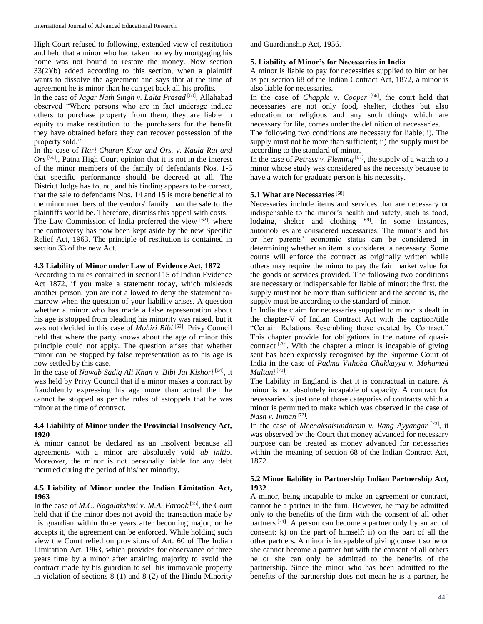High Court refused to following, extended view of restitution and held that a minor who had taken money by mortgaging his home was not bound to restore the money. Now section  $33(2)(b)$  added according to this section, when a plaintiff wants to dissolve the agreement and says that at the time of agreement he is minor than he can get back all his profits.

In the case of *Jagar Nath Singh v. Lalta Prasad* [60] *,* Allahabad observed "Where persons who are in fact underage induce others to purchase property from them, they are liable in equity to make restitution to the purchasers for the benefit they have obtained before they can recover possession of the property sold."

In the case of *Hari Charan Kuar and Ors. v. Kaula Rai and Ors* [61] *.,* Patna High Court opinion that it is not in the interest of the minor members of the family of defendants Nos. 1-5 that specific performance should be decreed at all. The District Judge has found, and his finding appears to be correct, that the sale to defendants Nos. 14 and 15 is more beneficial to the minor members of the vendors' family than the sale to the plaintiffs would be. Therefore, dismiss this appeal with costs.

The Law Commission of India preferred the view  $[62]$ , where the controversy has now been kept aside by the new Specific Relief Act, 1963. The principle of restitution is contained in section 33 of the new Act.

### **4.3 Liability of Minor under Law of Evidence Act, 1872**

According to rules contained in section115 of Indian Evidence Act 1872, if you make a statement today, which misleads another person, you are not allowed to deny the statement tomarrow when the question of your liability arises. A question whether a minor who has made a false representation about his age is stopped from pleading his minority was raised, but it was not decided in this case of *Mohiri Bibi* [63] *.* Privy Council held that where the party knows about the age of minor this principle could not apply. The question arises that whether minor can be stopped by false representation as to his age is now settled by this case.

In the case of *Nawab Sadiq Ali Khan v. Bibi Jai Kishori* [64] *,* it was held by Privy Council that if a minor makes a contract by fraudulently expressing his age more than actual then he cannot be stopped as per the rules of estoppels that he was minor at the time of contract.

### **4.4 Liability of Minor under the Provincial Insolvency Act, 1920**

A minor cannot be declared as an insolvent because all agreements with a minor are absolutely void *ab initio.* Moreover, the minor is not personally liable for any debt incurred during the period of his/her minority.

# **4.5 Liability of Minor under the Indian Limitation Act, 1963**

In the case of *M.C. Nagalakshmi v. M.A. Farook* [65] *,* the Court held that if the minor does not avoid the transaction made by his guardian within three years after becoming major, or he accepts it, the agreement can be enforced. While holding such view the Court relied on provisions of Art. 60 of The Indian Limitation Act, 1963, which provides for observance of three years time by a minor after attaining majority to avoid the contract made by his guardian to sell his immovable property in violation of sections 8 (1) and 8 (2) of the Hindu Minority and Guardianship Act, 1956.

#### **5. Liability of Minor's for Necessaries in India**

A minor is liable to pay for necessities supplied to him or her as per section 68 of the Indian Contract Act, 1872, a minor is also liable for necessaries.

In the case of *Chapple v. Cooper* [66] *, t*he court held that necessaries are not only food, shelter, clothes but also education or religious and any such things which are necessary for life, comes under the definition of necessaries.

The following two conditions are necessary for liable; i). The supply must not be more than sufficient; ii) the supply must be according to the standard of minor.

In the case of *Petress v. Fleming* [67] , the supply of a watch to a minor whose study was considered as the necessity because to have a watch for graduate person is his necessity.

# **5.1 What are Necessaries**<sup>[68]</sup>

Necessaries include items and services that are necessary or indispensable to the minor's health and safety, such as food, lodging, shelter and clothing  $[69]$ . In some instances, automobiles are considered necessaries. The minor's and his or her parents' economic status can be considered in determining whether an item is considered a necessary. Some courts will enforce the contract as originally written while others may require the minor to pay the fair market value for the goods or services provided. The following two conditions are necessary or indispensable for liable of minor: the first, the supply must not be more than sufficient and the second is, the supply must be according to the standard of minor.

In India the claim for necessaries supplied to minor is dealt in the chapter-V of Indian Contract Act with the caption/title "Certain Relations Resembling those created by Contract." This chapter provide for obligations in the nature of quasicontract  $[70]$ . With the chapter a minor is incapable of giving sent has been expressly recognised by the Supreme Court of India in the case of *Padma Vithoba Chakkayya v. Mohamed Multani* [71] *.*

The liability in England is that it is contractual in nature. A minor is not absolutely incapable of capacity. A contract for necessaries is just one of those categories of contracts which a minor is permitted to make which was observed in the case of *Nash v. Inman* [72] *.* 

In the case of *Meenakshisundaram v. Rang Ayyangar* [73] , it was observed by the Court that money advanced for necessary purpose can be treated as money advanced for necessaries within the meaning of section 68 of the Indian Contract Act, 1872.

## **5.2 Minor liability in Partnership Indian Partnership Act, 1932**

A minor, being incapable to make an agreement or contract, cannot be a partner in the firm. However, he may be admitted only to the benefits of the firm with the consent of all other partners <sup>[74]</sup>. A person can become a partner only by an act of consent: k) on the part of himself; ii) on the part of all the other partners. A minor is incapable of giving consent so he or she cannot become a partner but with the consent of all others he or she can only be admitted to the benefits of the partnership. Since the minor who has been admitted to the benefits of the partnership does not mean he is a partner, he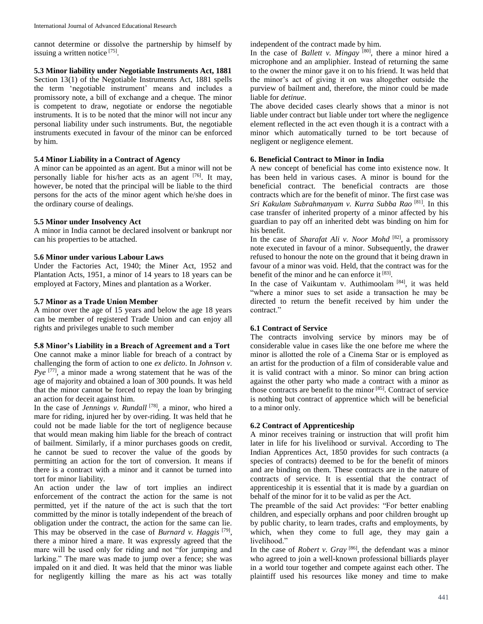cannot determine or dissolve the partnership by himself by issuing a written notice [75].

**5.3 Minor liability under Negotiable Instruments Act, 1881** Section 13(1) of the Negotiable Instruments Act, 1881 spells the term 'negotiable instrument' means and includes a promissory note, a bill of exchange and a cheque. The minor is competent to draw, negotiate or endorse the negotiable instruments. It is to be noted that the minor will not incur any personal liability under such instruments. But, the negotiable instruments executed in favour of the minor can be enforced by him.

## **5.4 Minor Liability in a Contract of Agency**

A minor can be appointed as an agent. But a minor will not be personally liable for his/her acts as an agent [76]. It may, however, be noted that the principal will be liable to the third persons for the acts of the minor agent which he/she does in the ordinary course of dealings.

# **5.5 Minor under Insolvency Act**

A minor in India cannot be declared insolvent or bankrupt nor can his properties to be attached.

### **5.6 Minor under various Labour Laws**

Under the Factories Act, 1940; the Miner Act, 1952 and Plantation Acts, 1951, a minor of 14 years to 18 years can be employed at Factory, Mines and plantation as a Worker.

### **5.7 Minor as a Trade Union Member**

A minor over the age of 15 years and below the age 18 years can be member of registered Trade Union and can enjoy all rights and privileges unable to such member

### **5.8 Minor's Liability in a Breach of Agreement and a Tort**

One cannot make a minor liable for breach of a contract by challenging the form of action to one *ex delicto*. In *Johnson v.* Pye<sup>[77]</sup>, a minor made a wrong statement that he was of the age of majority and obtained a loan of 300 pounds. It was held that the minor cannot be forced to repay the loan by bringing an action for deceit against him.

In the case of *Jennings v. Rundall* [78] *,* a minor, who hired a mare for riding, injured her by over-riding. It was held that he could not be made liable for the tort of negligence because that would mean making him liable for the breach of contract of bailment. Similarly, if a minor purchases goods on credit, he cannot be sued to recover the value of the goods by permitting an action for the tort of conversion. It means if there is a contract with a minor and it cannot be turned into tort for minor liability.

An action under the law of tort implies an indirect enforcement of the contract the action for the same is not permitted, yet if the nature of the act is such that the tort committed by the minor is totally independent of the breach of obligation under the contract, the action for the same can lie. This may be observed in the case of *Burnard v. Haggis* [79] , there a minor hired a mare. It was expressly agreed that the mare will be used only for riding and not "for jumping and larking." The mare was made to jump over a fence; she was impaled on it and died. It was held that the minor was liable for negligently killing the mare as his act was totally

independent of the contract made by him.

In the case of *Ballett v. Mingay* [80] , there a minor hired a microphone and an ampliphier. Instead of returning the same to the owner the minor gave it on to his friend. It was held that the minor's act of giving it on was altogether outside the purview of bailment and, therefore, the minor could be made liable for *detinue*.

The above decided cases clearly shows that a minor is not liable under contract but liable under tort where the negligence element reflected in the act even though it is a contract with a minor which automatically turned to be tort because of negligent or negligence element.

# **6. Beneficial Contract to Minor in India**

A new concept of beneficial has come into existence now. It has been held in various cases. A minor is bound for the beneficial contract. The beneficial contracts are those contracts which are for the benefit of minor. The first case was *Sri Kakulam Subrahmanyam v. Kurra Subba Rao* [81] . In this case transfer of inherited property of a minor affected by his guardian to pay off an inherited debt was binding on him for his benefit.

In the case of *Sharafat Ali v. Noor Mohd* [82], a promissory note executed in favour of a minor. Subsequently, the drawer refused to honour the note on the ground that it being drawn in favour of a minor was void. Held, that the contract was for the benefit of the minor and he can enforce it [83].

In the case of Vaikuntam v. Authimoolam<sup>[84]</sup>, it was held "where a minor sues to set aside a transaction he may be directed to return the benefit received by him under the contract."

# **6.1 Contract of Service**

The contracts involving service by minors may be of considerable value in cases like the one before me where the minor is allotted the role of a Cinema Star or is employed as an artist for the production of a film of considerable value and it is valid contract with a minor. So minor can bring action against the other party who made a contract with a minor as those contracts are benefit to the minor [85] . Contract of service is nothing but contract of apprentice which will be beneficial to a minor only.

# **6.2 Contract of Apprenticeship**

A minor receives training or instruction that will profit him later in life for his livelihood or survival. According to The Indian Apprentices Act, 1850 provides for such contracts (a species of contracts) deemed to be for the benefit of minors and are binding on them. These contracts are in the nature of contracts of service. It is essential that the contract of apprenticeship it is essential that it is made by a guardian on behalf of the minor for it to be valid as per the Act.

The preamble of the said Act provides: "For better enabling children, and especially orphans and poor children brought up by public charity, to learn trades, crafts and employments, by which, when they come to full age, they may gain a livelihood."

In the case of *Robert v. Gray*  $[86]$ , the defendant was a minor who agreed to join a well-known professional billiards player in a world tour together and compete against each other. The plaintiff used his resources like money and time to make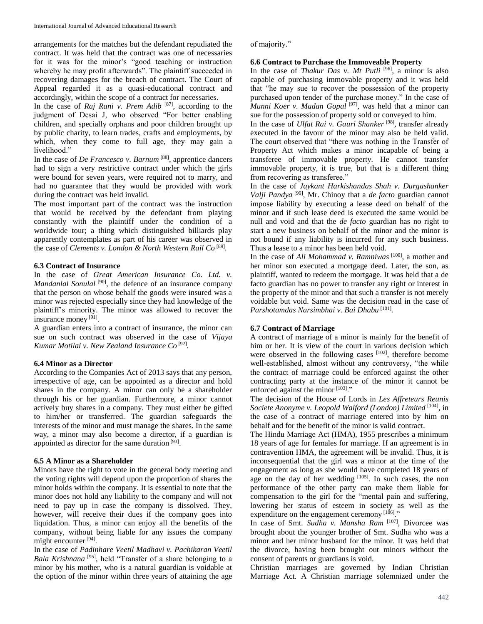arrangements for the matches but the defendant repudiated the contract. It was held that the contract was one of necessaries for it was for the minor's "good teaching or instruction whereby he may profit afterwards". The plaintiff succeeded in recovering damages for the breach of contract. The Court of Appeal regarded it as a quasi-educational contract and accordingly, within the scope of a contract for necessaries.

In the case of *Raj Rani v. Prem Adib* [87] , according to the judgment of Desai J, who observed "For better enabling children, and specially orphans and poor children brought up by public charity, to learn trades, crafts and employments, by which, when they come to full age, they may gain a livelihood."

In the case of *De Francesco v. Barnum* [88] , apprentice dancers had to sign a very restrictive contract under which the girls were bound for seven years, were required not to marry, and had no guarantee that they would be provided with work during the contract was held invalid.

The most important part of the contract was the instruction that would be received by the defendant from playing constantly with the plaintiff under the condition of a worldwide tour; a thing which distinguished billiards play apparently contemplates as part of his career was observed in the case of *Clements v. London & North Western Rail Co* [89] *.*

# **6.3 Contract of Insurance**

In the case of *Great American Insurance Co. Ltd. v. Mandanlal Sonulal*<sup>[90]</sup>, the defence of an insurance company that the person on whose behalf the goods were insured was a minor was rejected especially since they had knowledge of the plaintiff's minority. The minor was allowed to recover the insurance money<sup>[91]</sup>.

A guardian enters into a contract of insurance, the minor can sue on such contract was observed in the case of *Vijaya Kumar Motilal v. New Zealand Insurance Co* [92] *.*

# **6.4 Minor as a Director**

According to the Companies Act of 2013 says that any person, irrespective of age, can be appointed as a director and hold shares in the company. A minor can only be a shareholder through his or her guardian. Furthermore, a minor cannot actively buy shares in a company. They must either be gifted to him/her or transferred. The guardian safeguards the interests of the minor and must manage the shares. In the same way, a minor may also become a director, if a guardian is appointed as director for the same duration [93].

# **6.5 A Minor as a Shareholder**

Minors have the right to vote in the general body meeting and the voting rights will depend upon the proportion of shares the minor holds within the company. It is essential to note that the minor does not hold any liability to the company and will not need to pay up in case the company is dissolved. They, however, will receive their dues if the company goes into liquidation. Thus, a minor can enjoy all the benefits of the company, without being liable for any issues the company might encounter [94].

In the case of *Padinhare Veetil Madhavi v. Pachikaran Veetil*  Bala Krishnana<sup>[95]</sup>, held "Transfer of a share belonging to a minor by his mother, who is a natural guardian is voidable at the option of the minor within three years of attaining the age of majority."

# **6.6 Contract to Purchase the Immoveable Property**

In the case of *Thakur Das v. Mt Putli* [96] *,* a minor is also capable of purchasing immovable property and it was held that "he may sue to recover the possession of the property purchased upon tender of the purchase money." In the case of *Munni Koer v. Madan Gopal* [97] , was held that a minor can sue for the possession of property sold or conveyed to him.

In the case of *Ulfat Rai v. Gauri Shanker* [98] *,* transfer already executed in the favour of the minor may also be held valid. The court observed that "there was nothing in the Transfer of Property Act which makes a minor incapable of being a transferee of immovable property. He cannot transfer immovable property, it is true, but that is a different thing from recovering as transferee."

In the case of *Jaykant Harkishandas Shah v. Durgashanker Valji Pandya* [99] , Mr. Chinoy that a *de facto* guardian cannot impose liability by executing a lease deed on behalf of the minor and if such lease deed is executed the same would be null and void and that the *de facto* guardian has no right to start a new business on behalf of the minor and the minor is not bound if any liability is incurred for any such business. Thus a lease to a minor has been held void.

In the case of *Ali Mohammad v. Ramniwas* [100], a mother and her minor son executed a mortgage deed. Later, the son, as plaintiff, wanted to redeem the mortgage. It was held that a de facto guardian has no power to transfer any right or interest in the property of the minor and that such a transfer is not merely voidable but void. Same was the decision read in the case of *Parshotamdas Narsimbhai v. Bai Dhabu* [101] *.*

# **6.7 Contract of Marriage**

A contract of marriage of a minor is mainly for the benefit of him or her. It is view of the court in various decision which were observed in the following cases [102], therefore become well-established, almost without any controversy, "the while the contract of marriage could be enforced against the other contracting party at the instance of the minor it cannot be enforced against the minor [103]."

The decision of the House of Lords in *Les Affreteurs Reunis*  Societe Anonyme v. Leopold Walford (London) Limited [104], in the case of a contract of marriage entered into by him on behalf and for the benefit of the minor is valid contract.

The Hindu Marriage Act (HMA), 1955 prescribes a minimum 18 years of age for females for marriage. If an agreement is in contravention HMA, the agreement will be invalid. Thus, it is inconsequential that the girl was a minor at the time of the engagement as long as she would have completed 18 years of age on the day of her wedding  $[105]$ . In such cases, the non performance of the other party can make them liable for compensation to the girl for the "mental pain and suffering, lowering her status of esteem in society as well as the expenditure on the engagement ceremony [106]."

In case of Smt. *Sudha v. Mansha Ram* [107], Divorcee was brought about the younger brother of Smt. Sudha who was a minor and her minor husband for the minor. It was held that the divorce, having been brought out minors without the consent of parents or guardians is void.

Christian marriages are governed by Indian Christian Marriage Act. A Christian marriage solemnized under the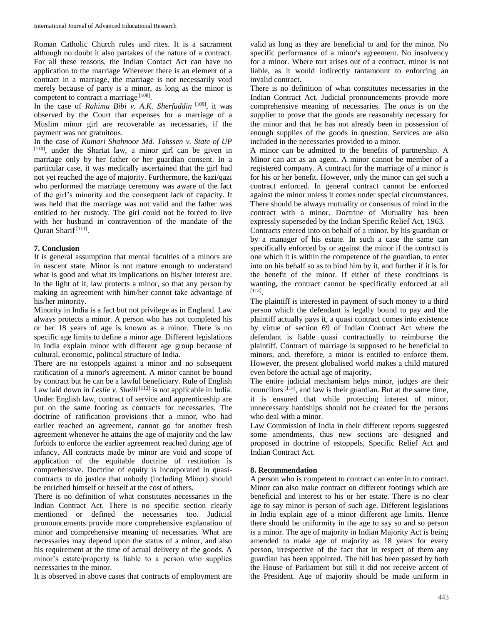Roman Catholic Church rules and rites. It is a sacrament although no doubt it also partakes of the nature of a contract. For all these reasons, the Indian Contact Act can have no application to the marriage Wherever there is an element of a contract in a marriage, the marriage is not necessarily void merely because of party is a minor, as long as the minor is competent to contract a marriage [108].

In the case of *Rahima Bibi v. A.K. Sherfuddin* <sup>[109]</sup>, it was observed by the Court that expenses for a marriage of a Muslim minor girl are recoverable as necessaries, if the payment was not gratuitous.

In the case of *Kumari Shahnoor Md. Tahssen v. State of UP* [110], under the Shariat law, a minor girl can be given in marriage only by her father or her guardian consent. In a particular case, it was medically ascertained that the girl had not yet reached the age of majority. Furthermore, the kazi/qazi who performed the marriage ceremony was aware of the fact of the girl's minority and the consequent lack of capacity. It was held that the marriage was not valid and the father was entitled to her custody. The girl could not be forced to live with her husband in contravention of the mandate of the Quran Sharif<sup>[111]</sup>.

### **7. Conclusion**

It is general assumption that mental faculties of a minors are in nascent state. Minor is not mature enough to understand what is good and what its implications on his/her interest are. In the light of it, law protects a minor, so that any person by making an agreement with him/her cannot take advantage of his/her minority.

Minority in India is a fact but not privilege as in England. Law always protects a minor. A person who has not completed his or her 18 years of age is known as a minor. There is no specific age limits to define a minor age. Different legislations in India explain minor with different age group because of cultural, economic, political structure of India.

There are no estoppels against a minor and no subsequent ratification of a minor's agreement. A minor cannot be bound by contract but he can be a lawful beneficiary. Rule of English Law laid down in *Leslie v. Sheill* [112] is not applicable in India. Under English law, contract of service and apprenticeship are put on the same footing as contracts for necessaries. The doctrine of ratification provisions that a minor, who had earlier reached an agreement, cannot go for another fresh agreement whenever he attains the age of majority and the law forbids to enforce the earlier agreement reached during age of infancy. All contracts made by minor are void and scope of application of the equitable doctrine of restitution is comprehensive. Doctrine of equity is incorporated in quasicontracts to do justice that nobody (including Minor) should be enriched himself or herself at the cost of others.

There is no definition of what constitutes necessaries in the Indian Contract Act. There is no specific section clearly mentioned or defined the necessaries too. Judicial pronouncements provide more comprehensive explanation of minor and comprehensive meaning of necessaries. What are necessaries may depend upon the status of a minor, and also his requirement at the time of actual delivery of the goods. A minor's estate/property is liable to a person who supplies necessaries to the minor.

It is observed in above cases that contracts of employment are

valid as long as they are beneficial to and for the minor. No specific performance of a minor's agreement. No insolvency for a minor. Where tort arises out of a contract, minor is not liable, as it would indirectly tantamount to enforcing an invalid contract.

There is no definition of what constitutes necessaries in the Indian Contract Act. Judicial pronouncements provide more comprehensive meaning of necessaries. The *onus* is on the supplier to prove that the goods are reasonably necessary for the minor and that he has not already been in possession of enough supplies of the goods in question. Services are also included in the necessaries provided to a minor.

A minor can be admitted to the benefits of partnership. A Minor can act as an agent. A minor cannot be member of a registered company. A contract for the marriage of a minor is for his or her benefit. However, only the minor can get such a contract enforced. In general contract cannot be enforced against the minor unless it comes under special circumstances. There should be always mutuality or consensus of mind in the contract with a minor. Doctrine of Mutuality has been expressly superseded by the Indian Specific Relief Act, 1963.

Contracts entered into on behalf of a minor, by his guardian or by a manager of his estate. In such a case the same can specifically enforced by or against the minor if the contract is one which it is within the competence of the guardian, to enter into on his behalf so as to bind him by it, and further if it is for the benefit of the minor. If either of these conditions is wanting, the contract cannot be specifically enforced at all [113] .

The plaintiff is interested in payment of such money to a third person which the defendant is legally bound to pay and the plaintiff actually pays it, a quasi contract comes into existence by virtue of section 69 of Indian Contract Act where the defendant is liable quasi contractually to reimburse the plaintiff. Contract of marriage is supposed to be beneficial to minors, and, therefore, a minor is entitled to enforce them. However, the present globalised world makes a child matured even before the actual age of majority.

The entire judicial mechanism helps minor, judges are their councilors  $[114]$ , and law is their guardian. But at the same time, it is ensured that while protecting interest of minor, unnecessary hardships should not be created for the persons who deal with a minor.

Law Commission of India in their different reports suggested some amendments, thus new sections are designed and proposed in doctrine of estoppels, Specific Relief Act and Indian Contract Act.

# **8. Recommendation**

A person who is competent to contract can enter in to contract. Minor can also make contract on different footings which are beneficial and interest to his or her estate. There is no clear age to say minor is person of such age. Different legislations in India explain age of a minor different age limits. Hence there should be uniformity in the age to say so and so person is a minor. The age of majority in Indian Majority Act is being amended to make age of majority as 18 years for every person, irrespective of the fact that in respect of them any guardian has been appointed. The bill has been passed by both the House of Parliament but still it did not receive accent of the President. Age of majority should be made uniform in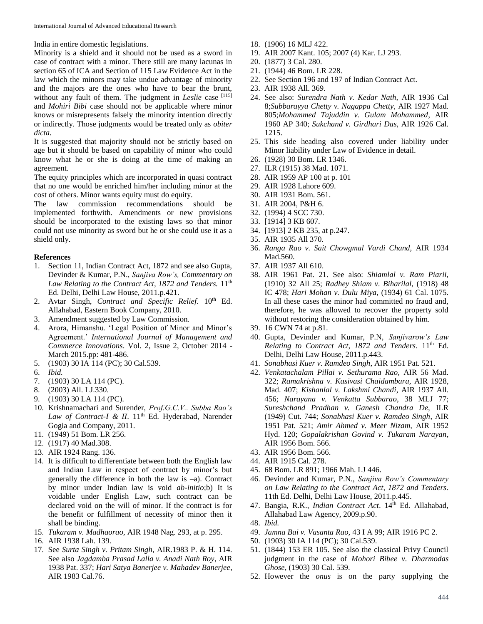India in entire domestic legislations.

Minority is a shield and it should not be used as a sword in case of contract with a minor. There still are many lacunas in section 65 of ICA and Section of 115 Law Evidence Act in the law which the minors may take undue advantage of minority and the majors are the ones who have to bear the brunt, without any fault of them. The judgment in *Leslie* case [115] and *Mohiri Bibi* case should not be applicable where minor knows or misrepresents falsely the minority intention directly or indirectly. Those judgments would be treated only as *obiter dicta.*

It is suggested that majority should not be strictly based on age but it should be based on capability of minor who could know what he or she is doing at the time of making an agreement.

The equity principles which are incorporated in quasi contract that no one would be enriched him/her including minor at the cost of others. Minor wants equity must do equity.

The law commission recommendations should be implemented forthwith. Amendments or new provisions should be incorporated to the existing laws so that minor could not use minority as sword but he or she could use it as a shield only.

# **References**

- 1. Section 11, Indian Contract Act, 1872 and see also Gupta, Devinder & Kumar, P.N., *Sanjiva Row's, Commentary on*  Law Relating to the Contract Act, 1872 and Tenders. 11<sup>th</sup> Ed. Delhi, Delhi Law House, 2011.p.421.
- 2. Avtar Singh, *Contract and Specific Relief*. 10<sup>th</sup> Ed. Allahabad, Eastern Book Company, 2010.
- 3. Amendment suggested by Law Commission.
- 4. Arora, Himanshu. 'Legal Position of Minor and Minor's Agreement.' *International Journal of Management and Commerce Innovations*. Vol. 2, Issue 2, October 2014 - March 2015.pp: 481-486.
- 5. (1903) 30 IA 114 (PC); 30 Cal.539.
- 6. *Ibid.*
- 7. (1903) 30 LA 114 (PC).
- 8. (2003) All. LJ.330.
- 9. (1903) 30 LA 114 (PC).
- 10. Krishnamachari and Surender, *Prof.G.C.V.. Subba Rao's*  Law of Contract-I & II. 11<sup>th</sup> Ed. Hyderabad, Narender Gogia and Company, 2011.
- 11. (1949) 51 Bom. LR 256.
- 12. (1917) 40 Mad.308.
- 13. AIR 1924 Rang. 136.
- 14. It is difficult to differentiate between both the English law and Indian Law in respect of contract by minor's but generally the difference in both the law is –a). Contract by minor under Indian law is void *ab-initio*;b) It is voidable under English Law, such contract can be declared void on the will of minor. If the contract is for the benefit or fulfillment of necessity of minor then it shall be binding.
- 15. *Tukaram v. Madhaorao,* AIR 1948 Nag. 293, at p. 295.
- 16. AIR 1938 Lah. 139.
- 17. See *Surta Singh v. Pritam Singh,* AIR.1983 P. & H. 114. See also *Jagdamba Prasad Lalla v. Anadi Nath Roy*, AIR 1938 Pat. 337; *Hari Satya Banerjee v. Mahadev Banerjee*, AIR 1983 Cal.76.
- 18. (1906) 16 MLJ 422.
- 19. AIR 2007 Kant. 105; 2007 (4) Kar. LJ 293.
- 20. (1877) 3 Cal. 280.
- 21. (1944) 46 Bom. LR 228.
- 22. See Section 196 and 197 of Indian Contract Act.
- 23. AIR 1938 All. 369.
- 24. See also: *Surendra Nath v. Kedar Nath,* AIR 1936 Cal 8;*Subbarayya Chetty v. Nagappa Chetty*, AIR 1927 Mad. 805;*Mohammed Tajuddin v. Gulam Mohammed*, AIR 1960 AP 340; *Sukchand v. Girdhari Das*, AIR 1926 Cal. 1215.
- 25. This side heading also covered under liability under Minor liability under Law of Evidence in detail.
- 26. (1928) 30 Bom. LR 1346.
- 27. ILR (1915) 38 Mad. 1071.
- 28. AIR 1959 AP 100 at p. 101
- 29. AIR 1928 Lahore 609.
- 30. AIR 1931 Bom. 561.
- 31. AIR 2004, P&H 6.
- 32. (1994) 4 SCC 730.
- 33. [1914] 3 KB 607.
- 34. [1913] 2 KB 235, at p.247.
- 35. AIR 1935 All 370.
- 36. *Ranga Rao v. Sait Chowgmal Vardi Chand,* AIR 1934 Mad.560.
- 37. AIR 1937 All 610.
- 38. AIR 1961 Pat. 21. See also: *Shiamlal v. Ram Piarii*, (1910) 32 All 25; *Radhey Shiam v. Biharilal,* (1918) 48 IC 478; *Hari Mohan v. Dulu Miya*, (1934) 61 Cal. 1075. In all these cases the minor had committed no fraud and, therefore, he was allowed to recover the property sold without restoring the consideration obtained by him.
- 39. 16 CWN 74 at p.81.
- 40. Gupta, Devinder and Kumar, P.N, *Sanjivarow's Law Relating to Contract Act, 1872 and Tenders*. 11th Ed. Delhi, Delhi Law House, 2011.p.443.
- 41. *Sonabhasi Kuer v. Ramdeo Singh*, AIR 1951 Pat. 521.
- 42. *Venkatachalam Pillai v. Sethurama Rao,* AIR 56 Mad. 322; *Ramakrishna v. Kasivasi Chaidambara,* AIR 1928, Mad. 407; *Kishanlal v. Lakshmi Chandi*, AIR 1937 All. 456; *Narayana v. Venkatta Subbarao,* 38 MLJ 77; *Sureshchand Pradhan v. Ganesh Chandra De,* ILR (1949) Cut. 744; *Sonabhasi Kuer v. Ramdeo Singh*, AIR 1951 Pat. 521; *Amir Ahmed v. Meer Nizam,* AIR 1952 Hyd. 120; *Gopalakrishan Govind v. Tukaram Narayan*, AIR 1956 Bom. 566.
- 43. AIR 1956 Bom. 566.
- 44. AIR 1915 Cal. 278.
- 45. 68 Bom. LR 891; 1966 Mah. LJ 446.
- 46. Devinder and Kumar, P.N., *Sanjiva Row's Commentary on Law Relating to the Contract Act, 1872 and Tenders*. 11th Ed. Delhi, Delhi Law House, 2011.p.445.
- 47. Bangia, R.K., *Indian Contract Act*. 14<sup>th</sup> Ed. Allahabad, Allahabad Law Agency, 2009.p.90.

48. *Ibid.*

- 49. *Jamna Bai v. Vasanta Rao,* 43 I A 99; AIR 1916 PC 2.
- 50. (1903) 30 IA 114 (PC); 30 Cal.539.
- 51. (1844) 153 ER 105. See also the classical Privy Council judgment in the case of *Mohori Bibee v. Dharmodas Ghose*, (1903) 30 Cal. 539.
- 52. However the *onus* is on the party supplying the